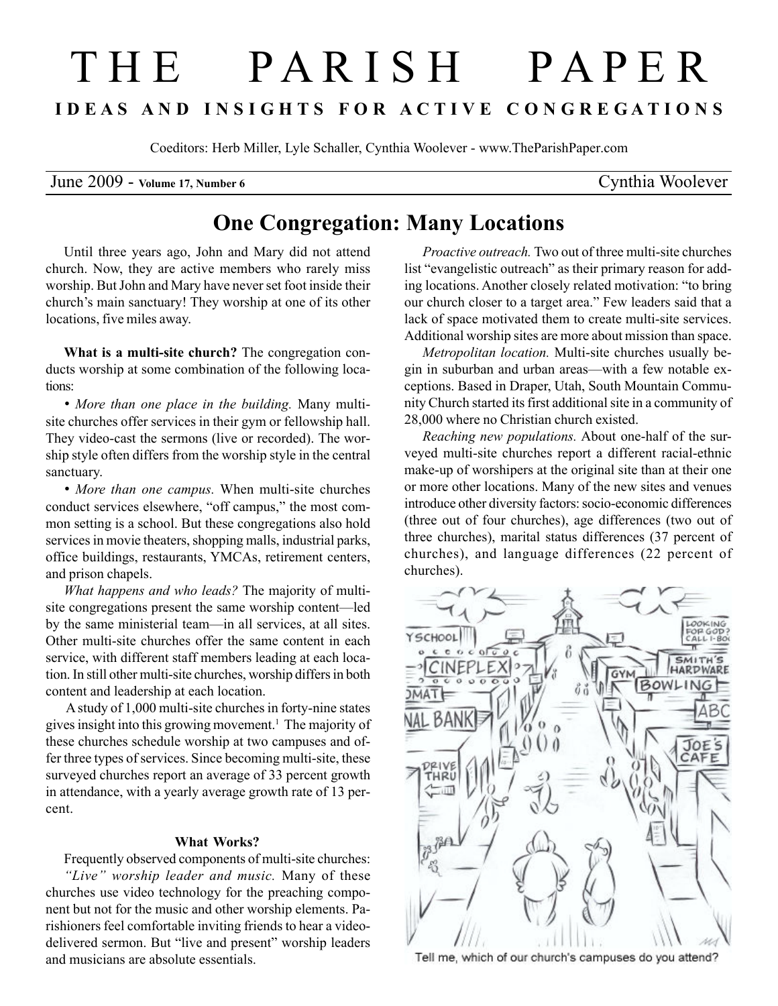## T H E P A R I S H P A P E R I D E A S A N D I N S I G H T S F O R A C T I V E C O N G R E G A T I O N S

Coeditors: Herb Miller, Lyle Schaller, Cynthia Woolever - www.TheParishPaper.com

June 2009 - Volume 17, Number 6 Cynthia Woolever

## One Congregation: Many Locations

Until three years ago, John and Mary did not attend church. Now, they are active members who rarely miss worship. But John and Mary have never set foot inside their church's main sanctuary! They worship at one of its other locations, five miles away.

What is a multi-site church? The congregation conducts worship at some combination of the following locations:

• More than one place in the building. Many multisite churches offer services in their gym or fellowship hall. They video-cast the sermons (live or recorded). The worship style often differs from the worship style in the central sanctuary.

• More than one campus. When multi-site churches conduct services elsewhere, "off campus," the most common setting is a school. But these congregations also hold services in movie theaters, shopping malls, industrial parks, office buildings, restaurants, YMCAs, retirement centers, and prison chapels.

What happens and who leads? The majority of multisite congregations present the same worship content—led by the same ministerial team—in all services, at all sites. Other multi-site churches offer the same content in each service, with different staff members leading at each location. In still other multi-site churches, worship differs in both content and leadership at each location.

 A study of 1,000 multi-site churches in forty-nine states gives insight into this growing movement.<sup>1</sup> The majority of these churches schedule worship at two campuses and offer three types of services. Since becoming multi-site, these surveyed churches report an average of 33 percent growth in attendance, with a yearly average growth rate of 13 percent.

## What Works?

Frequently observed components of multi-site churches: "Live" worship leader and music. Many of these churches use video technology for the preaching component but not for the music and other worship elements. Parishioners feel comfortable inviting friends to hear a videodelivered sermon. But "live and present" worship leaders and musicians are absolute essentials.

Proactive outreach. Two out of three multi-site churches list "evangelistic outreach" as their primary reason for adding locations. Another closely related motivation: "to bring our church closer to a target area." Few leaders said that a lack of space motivated them to create multi-site services. Additional worship sites are more about mission than space.

Metropolitan location. Multi-site churches usually begin in suburban and urban areas—with a few notable exceptions. Based in Draper, Utah, South Mountain Community Church started its first additional site in a community of 28,000 where no Christian church existed.

Reaching new populations. About one-half of the surveyed multi-site churches report a different racial-ethnic make-up of worshipers at the original site than at their one or more other locations. Many of the new sites and venues introduce other diversity factors: socio-economic differences (three out of four churches), age differences (two out of three churches), marital status differences (37 percent of churches), and language differences (22 percent of churches).



Tell me, which of our church's campuses do you attend?